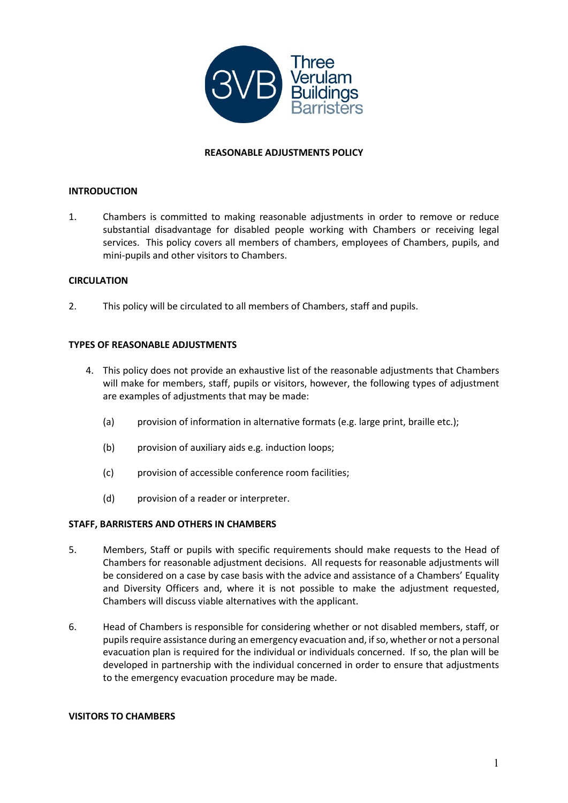

#### **REASONABLE ADJUSTMENTS POLICY**

#### **INTRODUCTION**

1. Chambers is committed to making reasonable adjustments in order to remove or reduce substantial disadvantage for disabled people working with Chambers or receiving legal services. This policy covers all members of chambers, employees of Chambers, pupils, and mini-pupils and other visitors to Chambers.

#### **CIRCULATION**

2. This policy will be circulated to all members of Chambers, staff and pupils.

#### **TYPES OF REASONABLE ADJUSTMENTS**

- 4. This policy does not provide an exhaustive list of the reasonable adjustments that Chambers will make for members, staff, pupils or visitors, however, the following types of adjustment are examples of adjustments that may be made:
	- (a) provision of information in alternative formats (e.g. large print, braille etc.);
	- (b) provision of auxiliary aids e.g. induction loops;
	- (c) provision of accessible conference room facilities;
	- (d) provision of a reader or interpreter.

#### **STAFF, BARRISTERS AND OTHERS IN CHAMBERS**

- 5. Members, Staff or pupils with specific requirements should make requests to the Head of Chambers for reasonable adjustment decisions. All requests for reasonable adjustments will be considered on a case by case basis with the advice and assistance of a Chambers' Equality and Diversity Officers and, where it is not possible to make the adjustment requested, Chambers will discuss viable alternatives with the applicant.
- 6. Head of Chambers is responsible for considering whether or not disabled members, staff, or pupils require assistance during an emergency evacuation and, if so, whether or not a personal evacuation plan is required for the individual or individuals concerned. If so, the plan will be developed in partnership with the individual concerned in order to ensure that adjustments to the emergency evacuation procedure may be made.

#### **VISITORS TO CHAMBERS**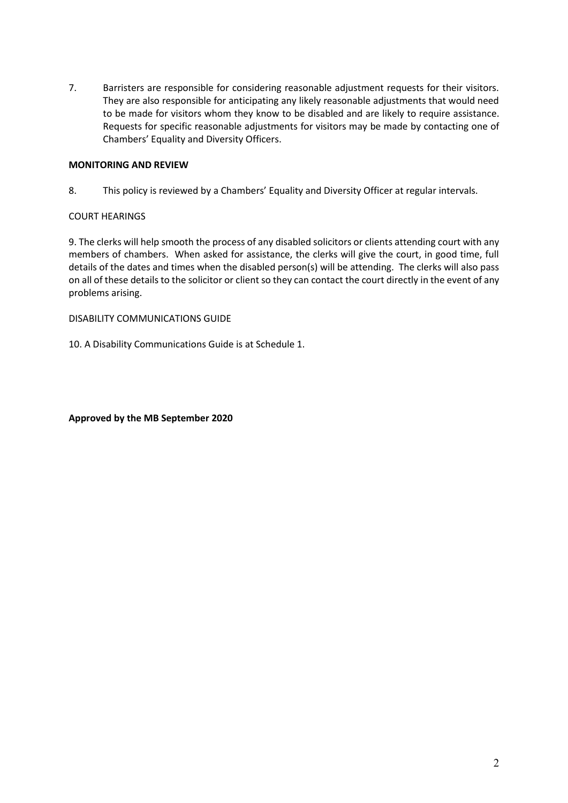7. Barristers are responsible for considering reasonable adjustment requests for their visitors. They are also responsible for anticipating any likely reasonable adjustments that would need to be made for visitors whom they know to be disabled and are likely to require assistance. Requests for specific reasonable adjustments for visitors may be made by contacting one of Chambers' Equality and Diversity Officers.

#### **MONITORING AND REVIEW**

8. This policy is reviewed by a Chambers' Equality and Diversity Officer at regular intervals.

#### COURT HEARINGS

9. The clerks will help smooth the process of any disabled solicitors or clients attending court with any members of chambers. When asked for assistance, the clerks will give the court, in good time, full details of the dates and times when the disabled person(s) will be attending. The clerks will also pass on all of these details to the solicitor or client so they can contact the court directly in the event of any problems arising.

DISABILITY COMMUNICATIONS GUIDE

10. A Disability Communications Guide is at Schedule 1.

**Approved by the MB September 2020**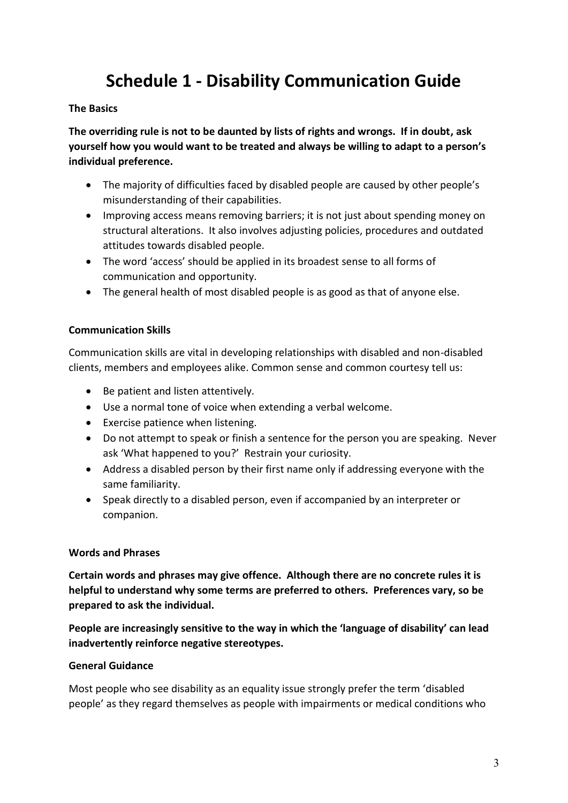# **Schedule 1 - Disability Communication Guide**

#### **The Basics**

**The overriding rule is not to be daunted by lists of rights and wrongs. If in doubt, ask yourself how you would want to be treated and always be willing to adapt to a person's individual preference.**

- The majority of difficulties faced by disabled people are caused by other people's misunderstanding of their capabilities.
- Improving access means removing barriers; it is not just about spending money on structural alterations. It also involves adjusting policies, procedures and outdated attitudes towards disabled people.
- The word 'access' should be applied in its broadest sense to all forms of communication and opportunity.
- The general health of most disabled people is as good as that of anyone else.

## **Communication Skills**

Communication skills are vital in developing relationships with disabled and non-disabled clients, members and employees alike. Common sense and common courtesy tell us:

- Be patient and listen attentively.
- Use a normal tone of voice when extending a verbal welcome.
- Exercise patience when listening.
- Do not attempt to speak or finish a sentence for the person you are speaking. Never ask 'What happened to you?' Restrain your curiosity.
- Address a disabled person by their first name only if addressing everyone with the same familiarity.
- Speak directly to a disabled person, even if accompanied by an interpreter or companion.

## **Words and Phrases**

**Certain words and phrases may give offence. Although there are no concrete rules it is helpful to understand why some terms are preferred to others. Preferences vary, so be prepared to ask the individual.**

**People are increasingly sensitive to the way in which the 'language of disability' can lead inadvertently reinforce negative stereotypes.**

## **General Guidance**

Most people who see disability as an equality issue strongly prefer the term 'disabled people' as they regard themselves as people with impairments or medical conditions who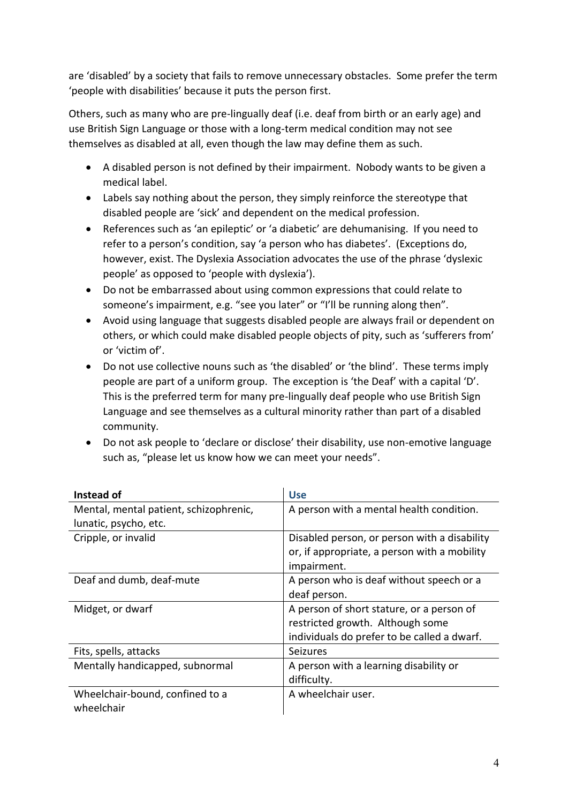are 'disabled' by a society that fails to remove unnecessary obstacles. Some prefer the term 'people with disabilities' because it puts the person first.

Others, such as many who are pre-lingually deaf (i.e. deaf from birth or an early age) and use British Sign Language or those with a long-term medical condition may not see themselves as disabled at all, even though the law may define them as such.

- A disabled person is not defined by their impairment. Nobody wants to be given a medical label.
- Labels say nothing about the person, they simply reinforce the stereotype that disabled people are 'sick' and dependent on the medical profession.
- References such as 'an epileptic' or 'a diabetic' are dehumanising. If you need to refer to a person's condition, say 'a person who has diabetes'. (Exceptions do, however, exist. The Dyslexia Association advocates the use of the phrase 'dyslexic people' as opposed to 'people with dyslexia').
- Do not be embarrassed about using common expressions that could relate to someone's impairment, e.g. "see you later" or "I'll be running along then".
- Avoid using language that suggests disabled people are always frail or dependent on others, or which could make disabled people objects of pity, such as 'sufferers from' or 'victim of'.
- Do not use collective nouns such as 'the disabled' or 'the blind'. These terms imply people are part of a uniform group. The exception is 'the Deaf' with a capital 'D'. This is the preferred term for many pre-lingually deaf people who use British Sign Language and see themselves as a cultural minority rather than part of a disabled community.
- Do not ask people to 'declare or disclose' their disability, use non-emotive language such as, "please let us know how we can meet your needs".

| Instead of                             | <b>Use</b>                                   |
|----------------------------------------|----------------------------------------------|
| Mental, mental patient, schizophrenic, | A person with a mental health condition.     |
| lunatic, psycho, etc.                  |                                              |
| Cripple, or invalid                    | Disabled person, or person with a disability |
|                                        | or, if appropriate, a person with a mobility |
|                                        | impairment.                                  |
| Deaf and dumb, deaf-mute               | A person who is deaf without speech or a     |
|                                        | deaf person.                                 |
| Midget, or dwarf                       | A person of short stature, or a person of    |
|                                        | restricted growth. Although some             |
|                                        | individuals do prefer to be called a dwarf.  |
| Fits, spells, attacks                  | <b>Seizures</b>                              |
| Mentally handicapped, subnormal        | A person with a learning disability or       |
|                                        | difficulty.                                  |
| Wheelchair-bound, confined to a        | A wheelchair user.                           |
| wheelchair                             |                                              |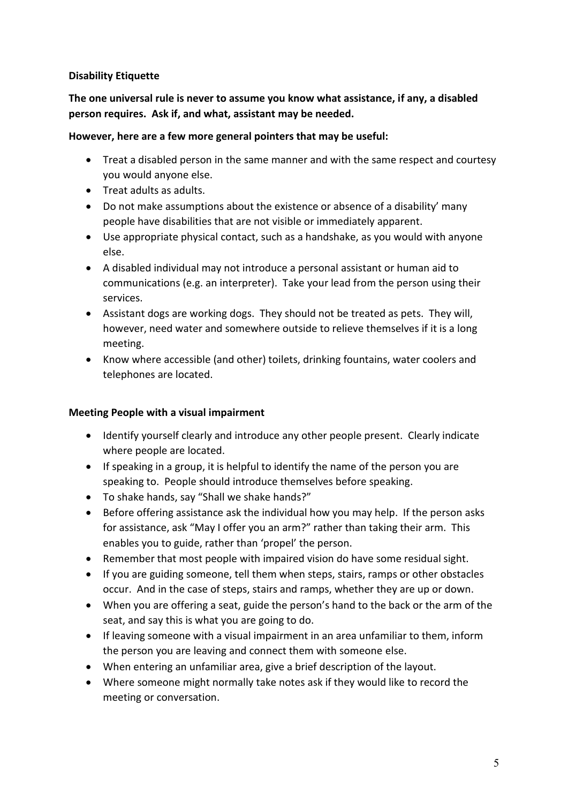## **Disability Etiquette**

# **The one universal rule is never to assume you know what assistance, if any, a disabled person requires. Ask if, and what, assistant may be needed.**

#### **However, here are a few more general pointers that may be useful:**

- Treat a disabled person in the same manner and with the same respect and courtesy you would anyone else.
- Treat adults as adults.
- Do not make assumptions about the existence or absence of a disability' many people have disabilities that are not visible or immediately apparent.
- Use appropriate physical contact, such as a handshake, as you would with anyone else.
- A disabled individual may not introduce a personal assistant or human aid to communications (e.g. an interpreter). Take your lead from the person using their services.
- Assistant dogs are working dogs. They should not be treated as pets. They will, however, need water and somewhere outside to relieve themselves if it is a long meeting.
- Know where accessible (and other) toilets, drinking fountains, water coolers and telephones are located.

## **Meeting People with a visual impairment**

- Identify yourself clearly and introduce any other people present. Clearly indicate where people are located.
- If speaking in a group, it is helpful to identify the name of the person you are speaking to. People should introduce themselves before speaking.
- To shake hands, say "Shall we shake hands?"
- Before offering assistance ask the individual how you may help. If the person asks for assistance, ask "May I offer you an arm?" rather than taking their arm. This enables you to guide, rather than 'propel' the person.
- Remember that most people with impaired vision do have some residual sight.
- If you are guiding someone, tell them when steps, stairs, ramps or other obstacles occur. And in the case of steps, stairs and ramps, whether they are up or down.
- When you are offering a seat, guide the person's hand to the back or the arm of the seat, and say this is what you are going to do.
- If leaving someone with a visual impairment in an area unfamiliar to them, inform the person you are leaving and connect them with someone else.
- When entering an unfamiliar area, give a brief description of the layout.
- Where someone might normally take notes ask if they would like to record the meeting or conversation.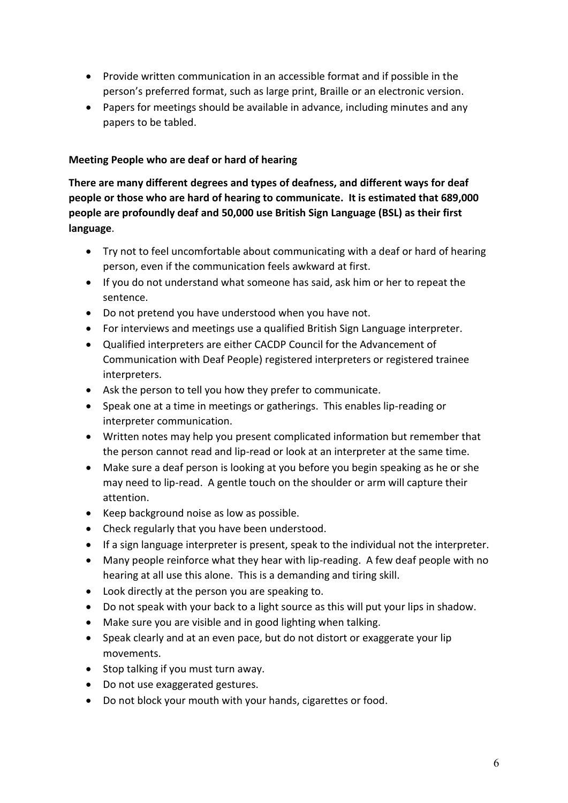- Provide written communication in an accessible format and if possible in the person's preferred format, such as large print, Braille or an electronic version.
- Papers for meetings should be available in advance, including minutes and any papers to be tabled.

## **Meeting People who are deaf or hard of hearing**

**There are many different degrees and types of deafness, and different ways for deaf people or those who are hard of hearing to communicate. It is estimated that 689,000 people are profoundly deaf and 50,000 use British Sign Language (BSL) as their first language**.

- Try not to feel uncomfortable about communicating with a deaf or hard of hearing person, even if the communication feels awkward at first.
- If you do not understand what someone has said, ask him or her to repeat the sentence.
- Do not pretend you have understood when you have not.
- For interviews and meetings use a qualified British Sign Language interpreter.
- Qualified interpreters are either CACDP Council for the Advancement of Communication with Deaf People) registered interpreters or registered trainee interpreters.
- Ask the person to tell you how they prefer to communicate.
- Speak one at a time in meetings or gatherings. This enables lip-reading or interpreter communication.
- Written notes may help you present complicated information but remember that the person cannot read and lip-read or look at an interpreter at the same time.
- Make sure a deaf person is looking at you before you begin speaking as he or she may need to lip-read. A gentle touch on the shoulder or arm will capture their attention.
- Keep background noise as low as possible.
- Check regularly that you have been understood.
- If a sign language interpreter is present, speak to the individual not the interpreter.
- Many people reinforce what they hear with lip-reading. A few deaf people with no hearing at all use this alone. This is a demanding and tiring skill.
- Look directly at the person you are speaking to.
- Do not speak with your back to a light source as this will put your lips in shadow.
- Make sure you are visible and in good lighting when talking.
- Speak clearly and at an even pace, but do not distort or exaggerate your lip movements.
- Stop talking if you must turn away.
- Do not use exaggerated gestures.
- Do not block your mouth with your hands, cigarettes or food.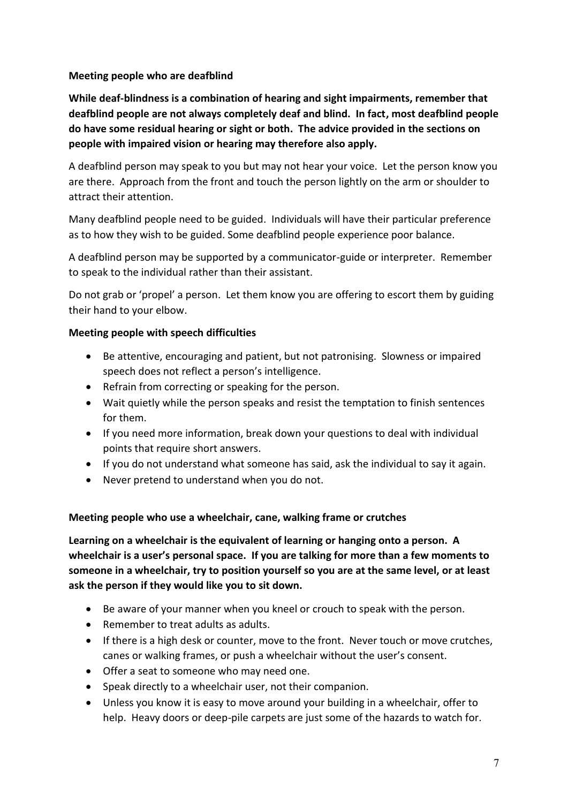## **Meeting people who are deafblind**

**While deaf-blindness is a combination of hearing and sight impairments, remember that deafblind people are not always completely deaf and blind. In fact, most deafblind people do have some residual hearing or sight or both. The advice provided in the sections on people with impaired vision or hearing may therefore also apply.**

A deafblind person may speak to you but may not hear your voice. Let the person know you are there. Approach from the front and touch the person lightly on the arm or shoulder to attract their attention.

Many deafblind people need to be guided. Individuals will have their particular preference as to how they wish to be guided. Some deafblind people experience poor balance.

A deafblind person may be supported by a communicator-guide or interpreter. Remember to speak to the individual rather than their assistant.

Do not grab or 'propel' a person. Let them know you are offering to escort them by guiding their hand to your elbow.

#### **Meeting people with speech difficulties**

- Be attentive, encouraging and patient, but not patronising. Slowness or impaired speech does not reflect a person's intelligence.
- Refrain from correcting or speaking for the person.
- Wait quietly while the person speaks and resist the temptation to finish sentences for them.
- If you need more information, break down your questions to deal with individual points that require short answers.
- If you do not understand what someone has said, ask the individual to say it again.
- Never pretend to understand when you do not.

## **Meeting people who use a wheelchair, cane, walking frame or crutches**

**Learning on a wheelchair is the equivalent of learning or hanging onto a person. A wheelchair is a user's personal space. If you are talking for more than a few moments to someone in a wheelchair, try to position yourself so you are at the same level, or at least ask the person if they would like you to sit down.**

- Be aware of your manner when you kneel or crouch to speak with the person.
- Remember to treat adults as adults.
- If there is a high desk or counter, move to the front. Never touch or move crutches, canes or walking frames, or push a wheelchair without the user's consent.
- Offer a seat to someone who may need one.
- Speak directly to a wheelchair user, not their companion.
- Unless you know it is easy to move around your building in a wheelchair, offer to help. Heavy doors or deep-pile carpets are just some of the hazards to watch for.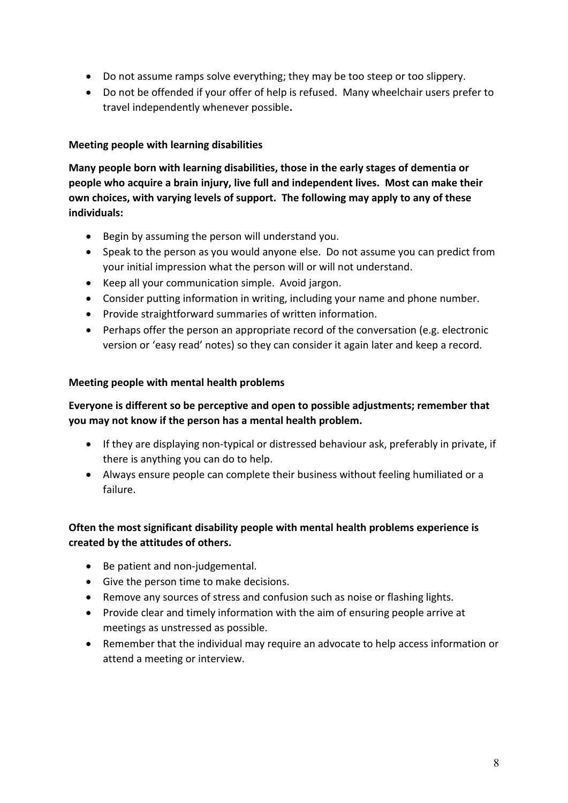- Do not assume ramps solve everything; they may be too steep or too slippery.
- Do not be offended if your offer of help is refused. Many wheelchair users prefer to travel independently whenever possible**.**

## **Meeting people with learning disabilities**

**Many people born with learning disabilities, those in the early stages of dementia or people who acquire a brain injury, live full and independent lives. Most can make their own choices, with varying levels of support. The following may apply to any of these individuals:**

- Begin by assuming the person will understand you.
- Speak to the person as you would anyone else. Do not assume you can predict from your initial impression what the person will or will not understand.
- Keep all your communication simple. Avoid jargon.
- Consider putting information in writing, including your name and phone number.
- Provide straightforward summaries of written information.
- Perhaps offer the person an appropriate record of the conversation (e.g. electronic version or 'easy read' notes) so they can consider it again later and keep a record.

## **Meeting people with mental health problems**

# **Everyone is different so be perceptive and open to possible adjustments; remember that you may not know if the person has a mental health problem.**

- If they are displaying non-typical or distressed behaviour ask, preferably in private, if there is anything you can do to help.
- Always ensure people can complete their business without feeling humiliated or a failure.

# **Often the most significant disability people with mental health problems experience is created by the attitudes of others.**

- Be patient and non-judgemental.
- Give the person time to make decisions.
- Remove any sources of stress and confusion such as noise or flashing lights.
- Provide clear and timely information with the aim of ensuring people arrive at meetings as unstressed as possible.
- Remember that the individual may require an advocate to help access information or attend a meeting or interview.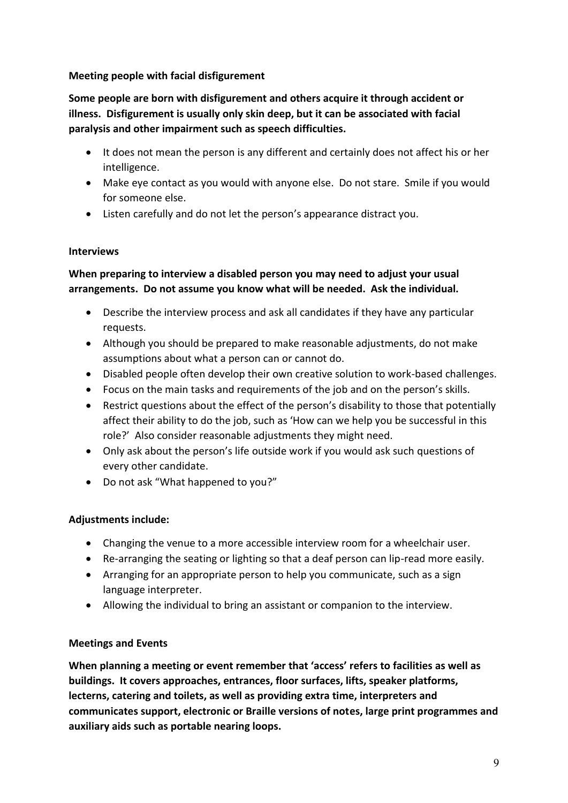## **Meeting people with facial disfigurement**

**Some people are born with disfigurement and others acquire it through accident or illness. Disfigurement is usually only skin deep, but it can be associated with facial paralysis and other impairment such as speech difficulties.**

- It does not mean the person is any different and certainly does not affect his or her intelligence.
- Make eye contact as you would with anyone else. Do not stare. Smile if you would for someone else.
- Listen carefully and do not let the person's appearance distract you.

## **Interviews**

# **When preparing to interview a disabled person you may need to adjust your usual arrangements. Do not assume you know what will be needed. Ask the individual.**

- Describe the interview process and ask all candidates if they have any particular requests.
- Although you should be prepared to make reasonable adjustments, do not make assumptions about what a person can or cannot do.
- Disabled people often develop their own creative solution to work-based challenges.
- Focus on the main tasks and requirements of the job and on the person's skills.
- Restrict questions about the effect of the person's disability to those that potentially affect their ability to do the job, such as 'How can we help you be successful in this role?' Also consider reasonable adjustments they might need.
- Only ask about the person's life outside work if you would ask such questions of every other candidate.
- Do not ask "What happened to you?"

# **Adjustments include:**

- Changing the venue to a more accessible interview room for a wheelchair user.
- Re-arranging the seating or lighting so that a deaf person can lip-read more easily.
- Arranging for an appropriate person to help you communicate, such as a sign language interpreter.
- Allowing the individual to bring an assistant or companion to the interview.

# **Meetings and Events**

**When planning a meeting or event remember that 'access' refers to facilities as well as buildings. It covers approaches, entrances, floor surfaces, lifts, speaker platforms, lecterns, catering and toilets, as well as providing extra time, interpreters and communicates support, electronic or Braille versions of notes, large print programmes and auxiliary aids such as portable nearing loops.**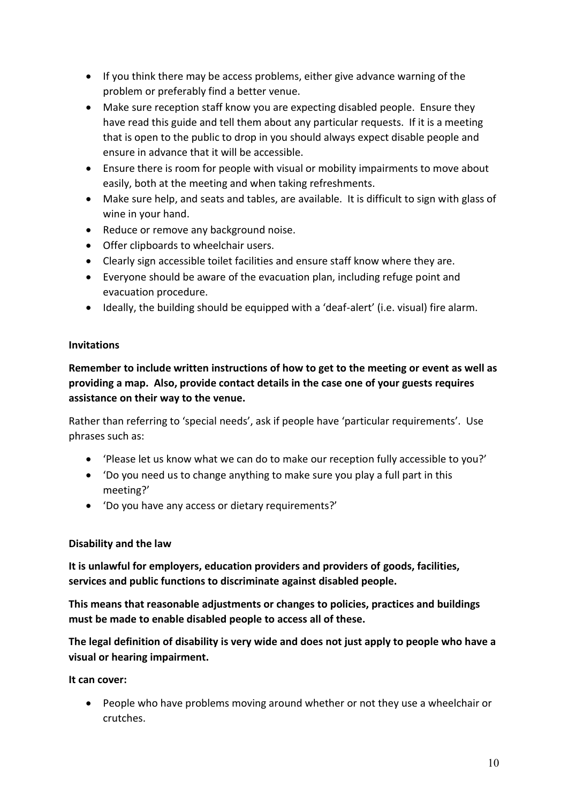- If you think there may be access problems, either give advance warning of the problem or preferably find a better venue.
- Make sure reception staff know you are expecting disabled people. Ensure they have read this guide and tell them about any particular requests. If it is a meeting that is open to the public to drop in you should always expect disable people and ensure in advance that it will be accessible.
- Ensure there is room for people with visual or mobility impairments to move about easily, both at the meeting and when taking refreshments.
- Make sure help, and seats and tables, are available. It is difficult to sign with glass of wine in your hand.
- Reduce or remove any background noise.
- Offer clipboards to wheelchair users.
- Clearly sign accessible toilet facilities and ensure staff know where they are.
- Everyone should be aware of the evacuation plan, including refuge point and evacuation procedure.
- Ideally, the building should be equipped with a 'deaf-alert' (i.e. visual) fire alarm.

#### **Invitations**

**Remember to include written instructions of how to get to the meeting or event as well as providing a map. Also, provide contact details in the case one of your guests requires assistance on their way to the venue.**

Rather than referring to 'special needs', ask if people have 'particular requirements'. Use phrases such as:

- 'Please let us know what we can do to make our reception fully accessible to you?'
- 'Do you need us to change anything to make sure you play a full part in this meeting?'
- 'Do you have any access or dietary requirements?'

#### **Disability and the law**

**It is unlawful for employers, education providers and providers of goods, facilities, services and public functions to discriminate against disabled people.**

**This means that reasonable adjustments or changes to policies, practices and buildings must be made to enable disabled people to access all of these.**

**The legal definition of disability is very wide and does not just apply to people who have a visual or hearing impairment.**

**It can cover:**

• People who have problems moving around whether or not they use a wheelchair or crutches.